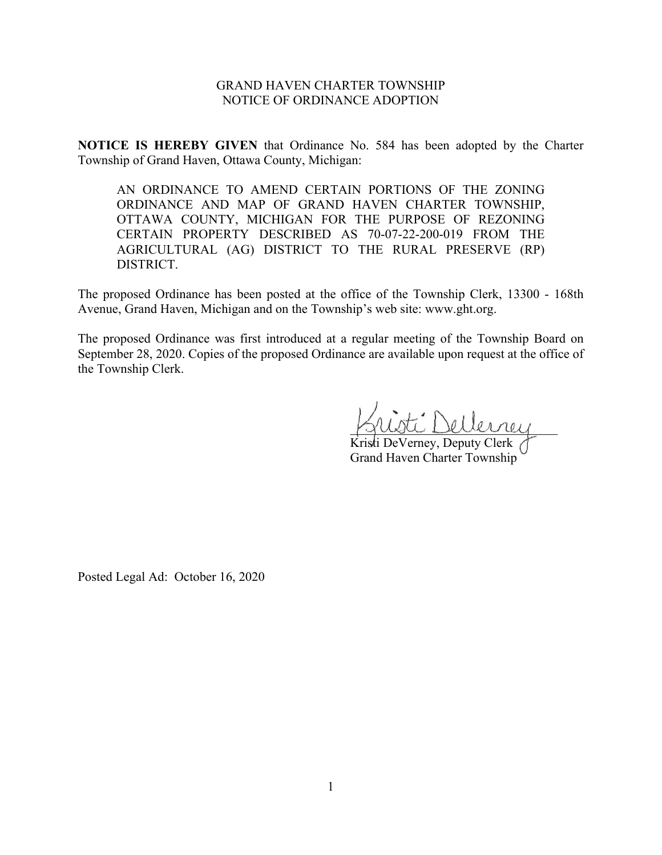## GRAND HAVEN CHARTER TOWNSHIP NOTICE OF ORDINANCE ADOPTION

**NOTICE IS HEREBY GIVEN** that Ordinance No. 584 has been adopted by the Charter Township of Grand Haven, Ottawa County, Michigan:

AN ORDINANCE TO AMEND CERTAIN PORTIONS OF THE ZONING ORDINANCE AND MAP OF GRAND HAVEN CHARTER TOWNSHIP, OTTAWA COUNTY, MICHIGAN FOR THE PURPOSE OF REZONING CERTAIN PROPERTY DESCRIBED AS 70-07-22-200-019 FROM THE AGRICULTURAL (AG) DISTRICT TO THE RURAL PRESERVE (RP) DISTRICT.

The proposed Ordinance has been posted at the office of the Township Clerk, 13300 - 168th Avenue, Grand Haven, Michigan and on the Township's web site: www.ght.org.

The proposed Ordinance was first introduced at a regular meeting of the Township Board on September 28, 2020. Copies of the proposed Ordinance are available upon request at the office of the Township Clerk.

\_\_\_\_\_\_\_\_\_\_\_\_\_\_\_\_\_\_\_\_\_\_\_\_\_\_\_\_\_\_\_\_

Kristi DeVerney, Deputy Clerk Grand Haven Charter Township

Posted Legal Ad: October 16, 2020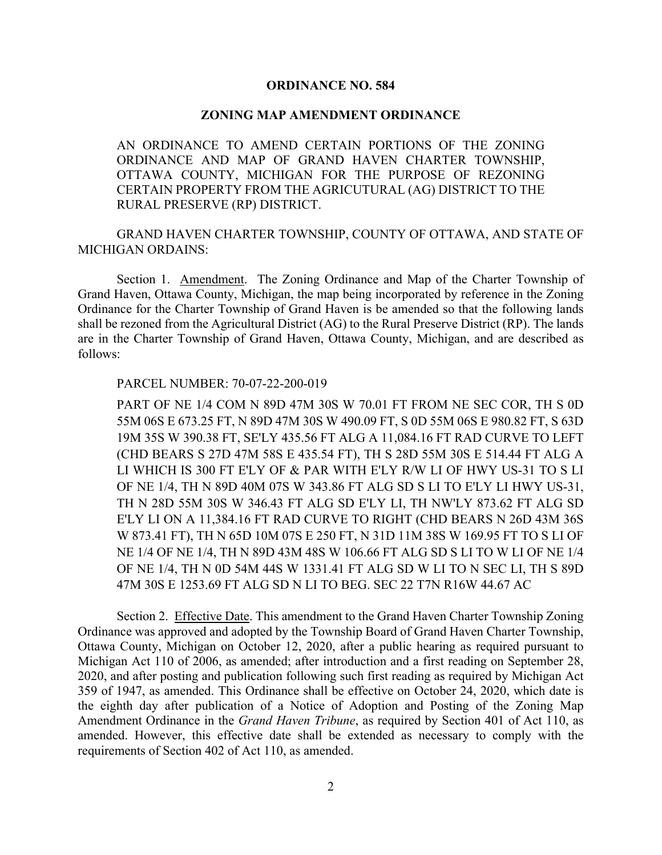## **ORDINANCE NO. 584**

#### **ZONING MAP AMENDMENT ORDINANCE**

AN ORDINANCE TO AMEND CERTAIN PORTIONS OF THE ZONING ORDINANCE AND MAP OF GRAND HAVEN CHARTER TOWNSHIP, OTTAWA COUNTY, MICHIGAN FOR THE PURPOSE OF REZONING CERTAIN PROPERTY FROM THE AGRICUTURAL (AG) DISTRICT TO THE RURAL PRESERVE (RP) DISTRICT.

GRAND HAVEN CHARTER TOWNSHIP, COUNTY OF OTTAWA, AND STATE OF MICHIGAN ORDAINS:

Section 1. Amendment. The Zoning Ordinance and Map of the Charter Township of Grand Haven, Ottawa County, Michigan, the map being incorporated by reference in the Zoning Ordinance for the Charter Township of Grand Haven is be amended so that the following lands shall be rezoned from the Agricultural District (AG) to the Rural Preserve District (RP). The lands are in the Charter Township of Grand Haven, Ottawa County, Michigan, and are described as follows:

### PARCEL NUMBER: 70-07-22-200-019

PART OF NE 1/4 COM N 89D 47M 30S W 70.01 FT FROM NE SEC COR, TH S 0D 55M 06S E 673.25 FT, N 89D 47M 30S W 490.09 FT, S 0D 55M 06S E 980.82 FT, S 63D 19M 35S W 390.38 FT, SE'LY 435.56 FT ALG A 11,084.16 FT RAD CURVE TO LEFT (CHD BEARS S 27D 47M 58S E 435.54 FT), TH S 28D 55M 30S E 514.44 FT ALG A LI WHICH IS 300 FT E'LY OF & PAR WITH E'LY R/W LI OF HWY US-31 TO S LI OF NE 1/4, TH N 89D 40M 07S W 343.86 FT ALG SD S LI TO E'LY LI HWY US-31, TH N 28D 55M 30S W 346.43 FT ALG SD E'LY LI, TH NW'LY 873.62 FT ALG SD E'LY LI ON A 11,384.16 FT RAD CURVE TO RIGHT (CHD BEARS N 26D 43M 36S W 873.41 FT), TH N 65D 10M 07S E 250 FT, N 31D 11M 38S W 169.95 FT TO S LI OF NE 1/4 OF NE 1/4, TH N 89D 43M 48S W 106.66 FT ALG SD S LI TO W LI OF NE 1/4 OF NE 1/4, TH N 0D 54M 44S W 1331.41 FT ALG SD W LI TO N SEC LI, TH S 89D 47M 30S E 1253.69 FT ALG SD N LI TO BEG. SEC 22 T7N R16W 44.67 AC

Section 2. Effective Date. This amendment to the Grand Haven Charter Township Zoning Ordinance was approved and adopted by the Township Board of Grand Haven Charter Township, Ottawa County, Michigan on October 12, 2020, after a public hearing as required pursuant to Michigan Act 110 of 2006, as amended; after introduction and a first reading on September 28, 2020, and after posting and publication following such first reading as required by Michigan Act 359 of 1947, as amended. This Ordinance shall be effective on October 24, 2020, which date is the eighth day after publication of a Notice of Adoption and Posting of the Zoning Map Amendment Ordinance in the *Grand Haven Tribune*, as required by Section 401 of Act 110, as amended. However, this effective date shall be extended as necessary to comply with the requirements of Section 402 of Act 110, as amended.